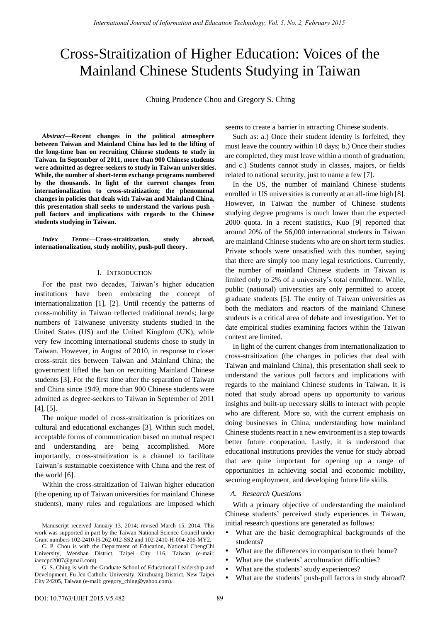# Cross-Straitization of Higher Education: Voices of the Mainland Chinese Students Studying in Taiwan

Chuing Prudence Chou and Gregory S. Ching

*Abstract***—Recent changes in the political atmosphere between Taiwan and Mainland China has led to the lifting of the long-time ban on recruiting Chinese students to study in Taiwan. In September of 2011, more than 900 Chinese students were admitted as degree-seekers to study in Taiwan universities. While, the number of short-term exchange programs numbered by the thousands. In light of the current changes from internationalization to cross-straitization; the phenomenal changes in policies that deals with Taiwan and Mainland China, this presentation shall seeks to understand the various push pull factors and implications with regards to the Chinese students studying in Taiwan.** 

*Index Terms***—Cross-straitization, study abroad, internationalization, study mobility, push-pull theory.** 

# I. INTRODUCTION

For the past two decades, Taiwan's higher education institutions have been embracing the concept of internationalization [1], [2]. Until recently the patterns of cross-mobility in Taiwan reflected traditional trends; large numbers of Taiwanese university students studied in the United States (US) and the United Kingdom (UK), while very few incoming international students chose to study in Taiwan. However, in August of 2010, in response to closer cross-strait ties between Taiwan and Mainland China; the government lifted the ban on recruiting Mainland Chinese students [3]. For the first time after the separation of Taiwan and China since 1949, more than 900 Chinese students were admitted as degree-seekers to Taiwan in September of 2011 [4], [5].

The unique model of cross-straitization is prioritizes on cultural and educational exchanges [3]. Within such model, acceptable forms of communication based on mutual respect and understanding are being accomplished. More importantly, cross-straitization is a channel to facilitate Taiwan's sustainable coexistence with China and the rest of the world [6].

Within the cross-straitization of Taiwan higher education (the opening up of Taiwan universities for mainland Chinese students), many rules and regulations are imposed which

C. P. Chou is with the Department of Education, National ChengChi University, Wenshan District, Taipei City 116, Taiwan (e-mail: iaezcpc2007@gmail.com).

seems to create a barrier in attracting Chinese students.

Such as: a.) Once their student identity is forfeited, they must leave the country within 10 days; b.) Once their studies are completed, they must leave within a month of graduation; and c.) Students cannot study in classes, majors, or fields related to national security, just to name a few [7].

In the US, the number of mainland Chinese students enrolled in US universities is currently at an all-time high [8]. However, in Taiwan the number of Chinese students studying degree programs is much lower than the expected 2000 quota. In a recent statistics, Kuo [9] reported that around 20% of the 56,000 international students in Taiwan are mainland Chinese students who are on short term studies. Private schools were unsatisfied with this number, saying that there are simply too many legal restrictions. Currently, the number of mainland Chinese students in Taiwan is limited only to 2% of a university's total enrollment. While, public (national) universities are only permitted to accept graduate students [5]. The entity of Taiwan universities as both the mediators and reactors of the mainland Chinese students is a critical area of debate and investigation. Yet to date empirical studies examining factors within the Taiwan context are limited.

In light of the current changes from internationalization to cross-straitization (the changes in policies that deal with Taiwan and mainland China), this presentation shall seek to understand the various pull factors and implications with regards to the mainland Chinese students in Taiwan. It is noted that study abroad opens up opportunity to various insights and built-up necessary skills to interact with people who are different. More so, with the current emphasis on doing businesses in China, understanding how mainland Chinese students react in a new environment is a step towards better future cooperation. Lastly, it is understood that educational institutions provides the venue for study abroad that are quite important for opening up a range of opportunities in achieving social and economic mobility, securing employment, and developing future life skills.

# *A. Research Questions*

With a primary objective of understanding the mainland Chinese students' perceived study experiences in Taiwan, initial research questions are generated as follows:

- What are the basic demographical backgrounds of the students?
- What are the differences in comparison to their home?
- What are the students' acculturation difficulties?
- What are the students' study experiences?
- What are the students' push-pull factors in study abroad?

Manuscript received January 13, 2014; revised March 15, 2014. This work was supported in part by the Taiwan National Science Council under Grant numbers 102-2410-H-262-012-SS2 and 102-2410-H-004-206-MY2.

G. S. Ching is with the Graduate School of Educational Leadership and Development, Fu Jen Catholic University, Xinzhuang District, New Taipei City 24205, Taiwan (e-mail: gregory\_ching@yahoo.com).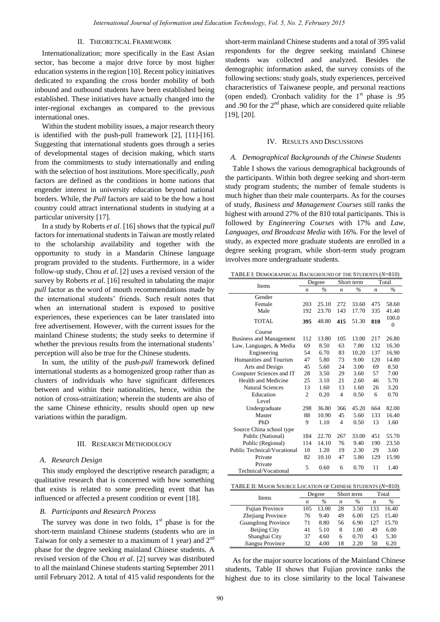# II. THEORETICAL FRAMEWORK

Internationalization; more specifically in the East Asian sector, has become a major drive force by most higher education systems in the region [10]. Recent policy initiatives dedicated to expanding the cross border mobility of both inbound and outbound students have been established being established. These initiatives have actually changed into the inter-regional exchanges as compared to the previous international ones.

Within the student mobility issues, a major research theory is identified with the push-pull framework [2], [11]-[16]. Suggesting that international students goes through a series of developmental stages of decision making, which starts from the commitments to study internationally and ending with the selection of host institutions. More specifically, *push* factors are defined as the conditions in home nations that engender interest in university education beyond national borders. While, the *Pull* factors are said to be the how a host country could attract international students in studying at a particular university [17].

In a study by Roberts *et al*. [16] shows that the typical *pull* factors for international students in Taiwan are mostly related to the scholarship availability and together with the opportunity to study in a Mandarin Chinese language program provided to the students. Furthermore, in a wider follow-up study, Chou *et al*. [2] uses a revised version of the survey by Roberts *et al*. [16] resulted in tabulating the major *pull* factor as the word of mouth recommendations made by the international students' friends. Such result notes that when an international student is exposed to positive experiences, these experiences can be later translated into free advertisement. However, with the current issues for the mainland Chinese students; the study seeks to determine if whether the previous results from the international students' perception will also be true for the Chinese students.

In sum, the utility of the *push*-*pull* framework defined international students as a homogenized group rather than as clusters of individuals who have significant differences between and within their nationalities, hence, within the notion of cross-straitization; wherein the students are also of the same Chinese ethnicity, results should open up new variations within the paradigm.

#### III. RESEARCH METHODOLOGY

## *A. Research Design*

This study employed the descriptive research paradigm; a qualitative research that is concerned with how something that exists is related to some preceding event that has influenced or affected a present condition or event [18].

#### *B. Participants and Research Process*

The survey was done in two folds,  $1<sup>st</sup>$  phase is for the short-term mainland Chinese students (students who are in Taiwan for only a semester to a maximum of 1 year) and  $2<sup>nd</sup>$ phase for the degree seeking mainland Chinese students. A revised version of the Chou *et al*. [2] survey was distributed to all the mainland Chinese students starting September 2011 until February 2012. A total of 415 valid respondents for the

short-term mainland Chinese students and a total of 395 valid respondents for the degree seeking mainland Chinese students was collected and analyzed. Besides the demographic information asked, the survey consists of the following sections: study goals, study experiences, perceived characteristics of Taiwanese people, and personal reactions (open ended). Cronbach validity for the  $1<sup>st</sup>$  phase is .95 and .90 for the  $2<sup>nd</sup>$  phase, which are considered quite reliable [19], [20].

# IV. RESULTS AND DISCUSSIONS

# *A. Demographical Backgrounds of the Chinese Students*

Table I shows the various demographical backgrounds of the participants. Within both degree seeking and short-term study program students; the number of female students is much higher than their male counterparts. As for the courses of study, *Business and Management Courses* still ranks the highest with around 27% of the 810 total participants. This is followed by *Engineering Courses* with 17% and *Law, Languages, and Broadcast Media* with 16%. For the level of study, as expected more graduate students are enrolled in a degree seeking program, while short-term study program involves more undergraduate students.

TABLE I: DEMOGRAPHICAL BACKGROUND OF THE STUDENTS (*N*=810)

| Items                          | Degree         |       | Short term       |       | Total |               |
|--------------------------------|----------------|-------|------------------|-------|-------|---------------|
|                                | n              | $\%$  | $\boldsymbol{n}$ | $\%$  | n     | $\frac{0}{0}$ |
| Gender                         |                |       |                  |       |       |               |
| Female                         | 203            | 25.10 | 272              | 33.60 | 475   | 58.60         |
| Male                           | 192            | 23.70 | 143              | 17.70 | 335   | 41.40         |
|                                |                |       |                  |       | 810   | 100.0         |
| <b>TOTAL</b>                   | 395            | 48.80 | 415              | 51.30 |       | $\theta$      |
| Course                         |                |       |                  |       |       |               |
| <b>Business and Management</b> | 112            | 13.80 | 105              | 13.00 | 217   | 26.80         |
| Law, Languages, & Media        | 69             | 8.50  | 63               | 7.80  | 132   | 16.30         |
| Engineering                    | 54             | 6.70  | 83               | 10.20 | 137   | 16.90         |
| Humanities and Tourism         | 47             | 5.80  | 73               | 9.00  | 120   | 14.80         |
| Arts and Design                | 45             | 5.60  | 24               | 3.00  | 69    | 8.50          |
| Computer Sciences and IT       | 28             | 3.50  | 29               | 3.60  | 57    | 7.00          |
| Health and Medicine            | 25             | 3.10  | 21               | 2.60  | 46    | 5.70          |
| <b>Natural Sciences</b>        | 13             | 1.60  | 13               | 1.60  | 26    | 3.20          |
| Education                      | $\overline{c}$ | 0.20  | $\overline{4}$   | 0.50  | 6     | 0.70          |
| Level                          |                |       |                  |       |       |               |
| Undergraduate                  | 298            | 36.80 | 366              | 45.20 | 664   | 82.00         |
| Master                         | 88             | 10.90 | 45               | 5.60  | 133   | 16.40         |
| PhD                            | 9              | 1.10  | $\overline{4}$   | 0.50  | 13    | 1.60          |
| Source China school type       |                |       |                  |       |       |               |
| Public (National)              | 184            | 22.70 | 267              | 33.00 | 451   | 55.70         |
| Public (Regional)              | 114            | 14.10 | 76               | 9.40  | 190   | 23.50         |
| Public Technical/Vocational    | 10             | 1.20  | 19               | 2.30  | 29    | 3.60          |
| Private                        | 82             | 10.10 | 47               | 5.80  | 129   | 15.90         |
| Private                        |                |       |                  |       |       |               |
| Technical/Vocational           | 5              | 0.60  | 6                | 0.70  | 11    | 1.40          |

| <b>Items</b>              |     | Degree |    | Short term |     | Total |  |
|---------------------------|-----|--------|----|------------|-----|-------|--|
|                           | n   | $\%$   | n  | $\%$       | n   | $\%$  |  |
| <b>Fujian Province</b>    | 105 | 13.00  | 28 | 3.50       | 133 | 16.40 |  |
| Zhejiang Province         | 76  | 9.40   | 49 | 6.00       | 125 | 15.40 |  |
| <b>Guangdong Province</b> | 71  | 8.80   | 56 | 6.90       | 127 | 15.70 |  |
| <b>Beijing City</b>       | 41  | 5.10   | 8  | 1.00       | 49  | 6.00  |  |
| Shanghai City             | 37  | 4.60   | 6  | 0.70       | 43  | 5.30  |  |
| Jiangsu Province          | 32  | 4.00   | 18 | 2.20       | 50  | 6.20  |  |

As for the major source locations of the Mainland Chinese students, Table II shows that Fujian province ranks the highest due to its close similarity to the local Taiwanese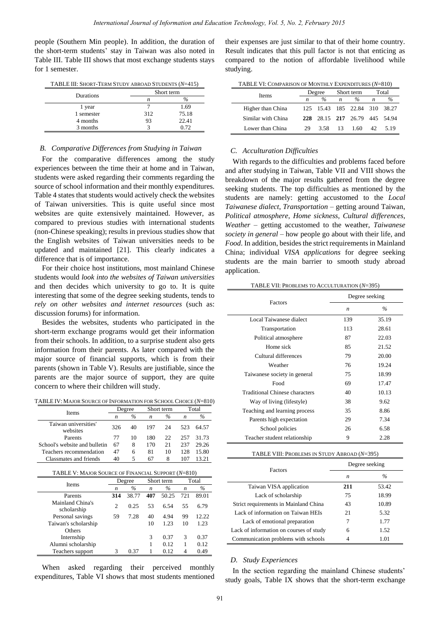people (Southern Min people). In addition, the duration of the short-term students' stay in Taiwan was also noted in Table III. Table III shows that most exchange students stays for 1 semester.

TABLE III: SHORT-TERM STUDY ABROAD STUDENTS (*N*=415)

| Durations  | Short term |       |  |
|------------|------------|-------|--|
|            | n          | %     |  |
| 1 year     |            | 1.69  |  |
| 1 semester | 312        | 75.18 |  |
| 4 months   | 93         | 22.41 |  |
| 3 months   |            | 0.72  |  |

# *B. Comparative Differences from Studying in Taiwan*

For the comparative differences among the study experiences between the time their at home and in Taiwan, students were asked regarding their comments regarding the source of school information and their monthly expenditures. Table 4 states that students would actively check the websites of Taiwan universities. This is quite useful since most websites are quite extensively maintained. However, as compared to previous studies with international students (non-Chinese speaking); results in previous studies show that the English websites of Taiwan universities needs to be updated and maintained [21]. This clearly indicates a difference that is of importance.

For their choice host institutions, most mainland Chinese students would *look into the websites of Taiwan universities* and then decides which university to go to. It is quite interesting that some of the degree seeking students, tends to *rely on other websites and internet resources* (such as: discussion forums) for information.

Besides the websites, students who participated in the short-term exchange programs would get their information from their schools. In addition, to a surprise student also gets information from their parents. As later compared with the major source of financial supports, which is from their parents (shown in Table V). Results are justifiable, since the parents are the major source of support, they are quite concern to where their children will study.

TABLE IV: MAJOR SOURCE OF INFORMATION FOR SCHOOL CHOICE (*N*=810)

| Items                                              | Degree           |                | Short term       |                    | Total            |       |
|----------------------------------------------------|------------------|----------------|------------------|--------------------|------------------|-------|
|                                                    | $\boldsymbol{n}$ | $\%$           | $\boldsymbol{n}$ | $\%$               | $\boldsymbol{n}$ | $\%$  |
| Taiwan universities'<br>websites                   | 326              | 40             | 197              | 24                 | 523              | 64.57 |
| Parents                                            | 77               | 10             | 180              | 22                 | 257              | 31.73 |
| School's website and bulletin                      | 67               | 8              | 170              | 21                 | 237              | 29.26 |
| Teachers recommendation                            | 47               | 6              | 81               | 10                 | 128              | 15.80 |
| Classmates and friends                             | 40               | 5              | 67               | 8                  | 107              | 13.21 |
|                                                    |                  |                |                  |                    |                  |       |
| TABLE V: MAJOR SOURCE OF FINANCIAL SUPPORT (N=810) |                  |                |                  |                    |                  | Total |
| Items                                              | n                | Degree<br>$\%$ | n                | Short term<br>$\%$ | $\boldsymbol{n}$ | $\%$  |
| Parents                                            | 314              | 38.77          | 407              | 50.25              | 721              | 89.01 |
| <b>Mainland China's</b><br>scholarship             | $\overline{c}$   | 0.25           | 53               | 6.54               | 55               | 6.79  |
| Personal savings                                   | 59               | 7.28           | 40               | 4.94               | 99               | 12.22 |
| Taiwan's scholarship                               |                  |                | 10               | 1.23               | 10               | 1.23  |
| Others                                             |                  |                |                  |                    |                  |       |
| Internship                                         |                  |                | 3                | 0.37               | 3                | 0.37  |
| Alumni scholarship                                 |                  |                | 1                | 0.12               | 1                | 0.12  |

When asked regarding their perceived monthly expenditures, Table VI shows that most students mentioned

their expenses are just similar to that of their home country. Result indicates that this pull factor is not that enticing as compared to the notion of affordable livelihood while studying.

| <b>Items</b>       | Degree           |               | Short term       |                               | Total |      |  |
|--------------------|------------------|---------------|------------------|-------------------------------|-------|------|--|
|                    | $\boldsymbol{n}$ | $\frac{0}{6}$ | $\boldsymbol{n}$ | $\frac{0}{2}$                 | n     | $\%$ |  |
| Higher than China  |                  |               |                  | 125 15.43 185 22.84 310 38.27 |       |      |  |
| Similar with China |                  |               |                  | 228 28.15 217 26.79 445 54.94 |       |      |  |
| Lower than China   | 29               | 3.58          | 13               | - 1.60                        | 42.   | 5.19 |  |

## TABLE VI: COMPARISON OF MONTHLY EXPENDITURES (*N*=810)

## *C. Acculturation Difficulties*

With regards to the difficulties and problems faced before and after studying in Taiwan, Table VII and VIII shows the breakdown of the major results gathered from the degree seeking students. The top difficulties as mentioned by the students are namely: getting accustomed to the *Local Taiwanese dialect*, *Transportation* – getting around Taiwan, *Political atmosphere*, *Home sickness*, *Cultural differences*, *Weather* – getting accustomed to the weather, *Taiwanese society in general* – how people go about with their life, and *Food*. In addition, besides the strict requirements in Mainland China; individual *VISA applications* for degree seeking students are the main barrier to smooth study abroad application.

| Factors                               | Degree seeking   |       |  |
|---------------------------------------|------------------|-------|--|
|                                       | $\boldsymbol{n}$ | $\%$  |  |
| Local Taiwanese dialect               | 139              | 35.19 |  |
| Transportation                        | 113              | 28.61 |  |
| Political atmosphere                  | 87               | 22.03 |  |
| Home sick                             | 85               | 21.52 |  |
| Cultural differences                  | 79               | 20.00 |  |
| Weather                               | 76               | 19.24 |  |
| Taiwanese society in general          | 75               | 18.99 |  |
| Food                                  | 69               | 17.47 |  |
| <b>Traditional Chinese characters</b> | 40               | 10.13 |  |
| Way of living (lifestyle)             | 38               | 9.62  |  |
| Teaching and learning process         | 35               | 8.86  |  |
| Parents high expectation              | 29               | 7.34  |  |
| School policies                       | 26               | 6.58  |  |
| Teacher student relationship          | 9                | 2.28  |  |

| TABLE VIII: PROBLEMS IN STUDY ABROAD (N=395) |                |       |  |  |
|----------------------------------------------|----------------|-------|--|--|
| Factors                                      | Degree seeking |       |  |  |
|                                              | n              | $\%$  |  |  |
| Taiwan VISA application                      | 211            | 53.42 |  |  |
| Lack of scholarship                          | 75             | 18.99 |  |  |
| Strict requirements in Mainland China        | 43             | 10.89 |  |  |
| Lack of information on Taiwan HEIs           | 2.1            | 5.32  |  |  |
| Lack of emotional preparation                | 7              | 1.77  |  |  |
| Lack of information on courses of study      | 6              | 1.52  |  |  |
| Communication problems with schools          |                | 1.01  |  |  |

# *D. Study Experiences*

In the section regarding the mainland Chinese students' study goals, Table IX shows that the short-term exchange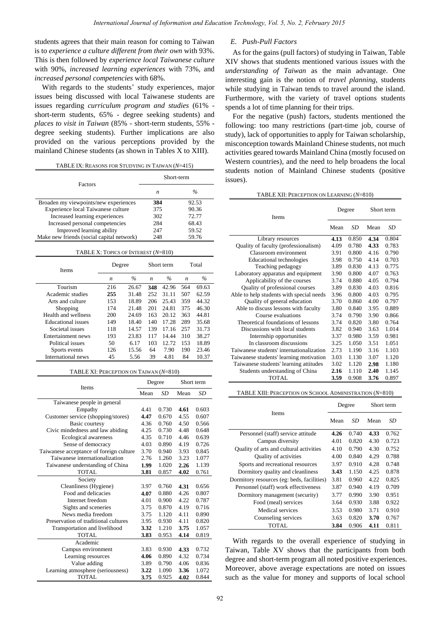students agrees that their main reason for coming to Taiwan is to *experience a culture different from their own* with 93%. This is then followed by *experience local Taiwanese culture* with 90%, *increased learning experiences* with 73%, and *increased personal competencies* with 68%.

With regards to the students' study experiences, major issues being discussed with local Taiwanese students are issues regarding *curriculum program and studies* (61% short-term students, 65% - degree seeking students) and *places to visit in Taiwan* (85% - short-term students, 55% degree seeking students). Further implications are also provided on the various perceptions provided by the mainland Chinese students (as shown in Tables X to XIII).

| TABLE IX: REASONS FOR STUDYING IN TAIWAN $(N=415)$ |  |  |  |  |  |
|----------------------------------------------------|--|--|--|--|--|
|----------------------------------------------------|--|--|--|--|--|

|                                           | Short-term |       |  |  |
|-------------------------------------------|------------|-------|--|--|
| Factors                                   | n          | $\%$  |  |  |
| Broaden my viewpoints/new experiences     | 384        | 92.53 |  |  |
| Experience local Taiwanese culture        | 375        | 90.36 |  |  |
| Increased learning experiences            | 302        | 72.77 |  |  |
| Increased personal competencies           | 284        | 68.43 |  |  |
| Improved learning ability                 | 247        | 59.52 |  |  |
| Make new friends (social capital network) | 248        | 59.76 |  |  |

| TABLE X: TOPICS OF INTEREST $(N=810)$ |                  |       |                  |       |       |       |
|---------------------------------------|------------------|-------|------------------|-------|-------|-------|
| <b>Items</b>                          | Degree           |       | Short term       |       | Total |       |
|                                       | $\boldsymbol{n}$ | $\%$  | $\boldsymbol{n}$ | $\%$  | n     | $\%$  |
| Tourism                               | 216              | 26.67 | 348              | 42.96 | 564   | 69.63 |
| Academic studies                      | 255              | 31.48 | 252              | 31.11 | 507   | 62.59 |
| Arts and culture                      | 153              | 18.89 | 206              | 25.43 | 359   | 44.32 |
| Shopping                              | 174              | 21.48 | 201              | 24.81 | 375   | 46.30 |
| Health and wellness                   | 200              | 24.69 | 163              | 20.12 | 363   | 44.81 |
| <b>Educational</b> issues             | 149              | 18.40 | 140              | 17.28 | 289   | 35.68 |
| Societal issues                       | 118              | 14.57 | 139              | 17.16 | 257   | 31.73 |
| Entertainment news                    | 193              | 23.83 | 117              | 14.44 | 310   | 38.27 |
| Political issues                      | 50               | 6.17  | 103              | 12.72 | 153   | 18.89 |
| Sports events                         | 126              | 15.56 | 64               | 7.90  | 190   | 23.46 |
| International news                    | 45               | 5.56  | 39               | 4.81  | 84    | 10.37 |

| TABLE XI: PERCEPTION ON TAIWAN (N=810) |  |  |  |
|----------------------------------------|--|--|--|
|----------------------------------------|--|--|--|

| Items                                   | Degree |       | Short term |       |
|-----------------------------------------|--------|-------|------------|-------|
|                                         | Mean   | SD    | Mean       | SD    |
| Taiwanese people in general             |        |       |            |       |
| Empathy                                 | 4.41   | 0.730 | 4.61       | 0.603 |
| Customer service (shopping/stores)      | 4.47   | 0.670 | 4.55       | 0.607 |
| Basic courtesy                          | 4.36   | 0.760 | 4.50       | 0.566 |
| Civic mindedness and law abiding        | 4.25   | 0.730 | 4.48       | 0.648 |
| Ecological awareness                    | 4.35   | 0.710 | 4.46       | 0.639 |
| Sense of democracy                      | 4.03   | 0.890 | 4.19       | 0.726 |
| Taiwanese acceptance of foreign culture | 3.70   | 0.940 | 3.93       | 0.845 |
| Taiwanese internationalization          | 2.76   | 1.260 | 3.23       | 1.077 |
| Taiwanese understanding of China        | 1.99   | 1.020 | 2.26       | 1.139 |
| <b>TOTAL</b>                            | 3.81   | 0.857 | 4.02       | 0.761 |
| Society                                 |        |       |            |       |
| Cleanliness (Hygiene)                   | 3.97   | 0.760 | 4.31       | 0.656 |
| Food and delicacies                     | 4.07   | 0.880 | 4.26       | 0.807 |
| Internet freedom                        | 4.01   | 0.900 | 4.22       | 0.787 |
| Sights and sceneries                    | 3.75   | 0.870 | 4.19       | 0.716 |
| News media freedom                      | 3.75   | 1.120 | 4.11       | 0.890 |
| Preservation of traditional cultures    | 3.95   | 0.930 | 4.11       | 0.820 |
| Transportation and livelihood           | 3.32   | 1.210 | 3.75       | 1.057 |
| <b>TOTAL</b>                            | 3.83   | 0.953 | 4.14       | 0.819 |
| Academic                                |        |       |            |       |
| Campus environment                      | 3.83   | 0.930 | 4.33       | 0.732 |
| Learning resources                      | 4.06   | 0.890 | 4.32       | 0.734 |
| Value adding                            | 3.89   | 0.790 | 4.06       | 0.836 |
| Learning atmosphere (seriousness)       | 3.22   | 1.090 | 3.36       | 1.072 |
| TOTAL                                   | 3.75   | 0.925 | 4.02       | 0.844 |

# *E. Push-Pull Factors*

As for the gains (pull factors) of studying in Taiwan, Table XIV shows that students mentioned various issues with the *understanding of Taiwan* as the main advantage. One interesting gain is the notion of *travel planning*, students while studying in Taiwan tends to travel around the island. Furthermore, with the variety of travel options students spends a lot of time planning for their trips.

For the negative (push) factors, students mentioned the following: too many restrictions (part-time job, course of study), lack of opportunities to apply for Taiwan scholarship, misconception towards Mainland Chinese students, not much activities geared towards Mainland China (mostly focused on Western countries), and the need to help broadens the local students notion of Mainland Chinese students (positive issues).

#### TABLE XII: PERCEPTION ON LEARNING (*N*=810)

| <b>Items</b>                             | Degree |       | Short term |       |
|------------------------------------------|--------|-------|------------|-------|
|                                          | Mean   | SD    | Mean       | SD    |
| Library resources                        | 4.13   | 0.850 | 4.34       | 0.804 |
| Quality of faculty (professionalism)     | 4.09   | 0.780 | 4.33       | 0.783 |
| Classroom environment                    | 3.91   | 0.800 | 4.16       | 0.790 |
| Educational technologies                 | 3.98   | 0.750 | 4.14       | 0.703 |
| Teaching pedagogy                        | 3.89   | 0.830 | 4.13       | 0.775 |
| Laboratory apparatus and equipment       | 3.90   | 0.800 | 4.07       | 0.763 |
| Applicability of the courses             | 3.74   | 0.880 | 4.05       | 0.794 |
| Quality of professional courses          | 3.89   | 0.830 | 4.03       | 0.816 |
| Able to help students with special needs | 3.96   | 0.800 | 4.03       | 0.795 |
| Quality of general education             | 3.70   | 0.860 | 4.00       | 0.797 |
| Able to discuss lessons with faculty     | 3.80   | 0.840 | 3.95       | 0.889 |
| Course evaluations                       | 3.74   | 0.790 | 3.90       | 0.866 |
| Theoretical foundations of lessons       | 3.74   | 0.820 | 3.80       | 0.764 |
| Discussions with local students          | 3.82   | 0.940 | 3.63       | 1.014 |
| Internship opportunities                 | 3.37   | 0.980 | 3.59       | 0.981 |
| In classroom discussions                 | 3.25   | 1.050 | 3.51       | 1.051 |
| Taiwanese students' internationalization | 2.73   | 1.190 | 3.16       | 1.103 |
| Taiwanese students' learning motivation  | 3.03   | 1.130 | 3.07       | 1.120 |
| Taiwanese students' learning attitudes   | 3.02   | 1.120 | 2.98       | 1.180 |
| Students understanding of China          | 2.16   | 1.110 | 2.40       | 1.145 |
| <b>TOTAL</b>                             | 3.59   | 0.908 | 3.76       | 0.897 |

#### TABLE XIII: PERCEPTION ON SCHOOL ADMINISTRATION (*N*=810)

|                                            | Degree |       | Short term |       |
|--------------------------------------------|--------|-------|------------|-------|
| <b>Items</b>                               |        | SD    | Mean       | SD    |
| Personnel (staff) service attitude         | 4.26   | 0.740 | 4.33       | 0.762 |
| Campus diversity                           | 4.01   | 0.820 | 4.30       | 0.723 |
| Quality of arts and cultural activities    | 4.10   | 0.790 | 4.30       | 0.752 |
| <b>Ouality of activities</b>               | 4.00   | 0.840 | 4.29       | 0.788 |
| Sports and recreational resources          | 3.97   | 0.910 | 4.28       | 0.748 |
| Dormitory quality and cleanliness          | 3.43   | 1.150 | 4.25       | 0.878 |
| Dormitory resources (eg: beds, facilities) | 3.81   | 0.960 | 4.22       | 0.825 |
| Personnel (staff) work effectiveness       | 3.87   | 0.940 | 4.19       | 0.709 |
| Dormitory management (security)            | 3.77   | 0.990 | 3.90       | 0.951 |
| Food (meal) services                       | 3.64   | 0.930 | 3.88       | 0.922 |
| Medical services                           | 3.53   | 0.980 | 3.71       | 0.910 |
| Counseling services                        | 3.63   | 0.820 | 3.70       | 0.767 |
| TOTAL                                      | 3.84   | 0.906 | 4.11       | 0.811 |

With regards to the overall experience of studying in Taiwan, Table XV shows that the participants from both degree and short-term program all noted positive experiences. Moreover, above average expectations are noted on issues such as the value for money and supports of local school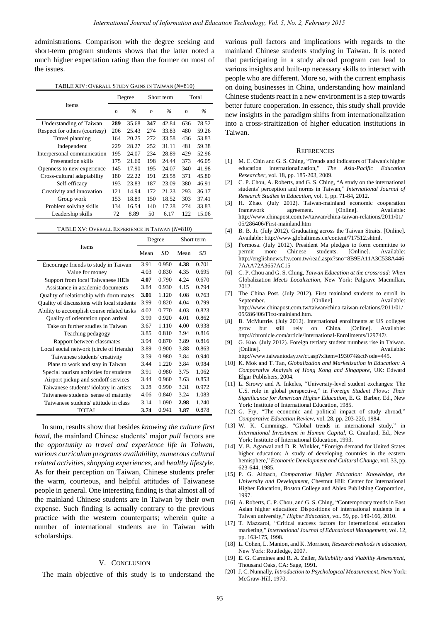administrations. Comparison with the degree seeking and short-term program students shows that the latter noted a much higher expectation rating than the former on most of the issues.

| TABLE XIV: OVERALL STUDY GAINS IN TAIWAN (N=810) |  |
|--------------------------------------------------|--|
|--------------------------------------------------|--|

|                               | Degree           |       | Short term       |               | Total |       |
|-------------------------------|------------------|-------|------------------|---------------|-------|-------|
| <b>Items</b>                  | $\boldsymbol{n}$ | $\%$  | $\boldsymbol{n}$ | $\frac{0}{0}$ | n     | $\%$  |
| Understanding of Taiwan       | 289              | 35.68 | 347              | 42.84         | 636   | 78.52 |
| Respect for others (courtesy) | 206              | 25.43 | 274              | 33.83         | 480   | 59.26 |
| Travel planning               | 164              | 20.25 | 272              | 33.58         | 436   | 53.83 |
| Independent                   | 229              | 28.27 | 252              | 31.11         | 481   | 59.38 |
| Interpersonal communication   | 195              | 24.07 | 234              | 28.89         | 429   | 52.96 |
| Presentation skills           | 175              | 21.60 | 198              | 24.44         | 373   | 46.05 |
| Openness to new experience    | 145              | 17.90 | 195              | 24.07         | 340   | 41.98 |
| Cross-cultural adaptability   | 180              | 22.22 | 191              | 23.58         | 371   | 45.80 |
| Self-efficacy                 | 193              | 23.83 | 187              | 23.09         | 380   | 46.91 |
| Creativity and innovation     | 121              | 14.94 | 172              | 21.23         | 293   | 36.17 |
| Group work                    | 153              | 18.89 | 150              | 18.52         | 303   | 37.41 |
| Problem solving skills        | 134              | 16.54 | 140              | 17.28         | 274   | 33.83 |
| Leadership skills             | 72               | 8.89  | 50               | 6.17          | 122   | 15.06 |

TABLE XV: OVERALL EXPERIENCE IN TAIWAN (*N*=810)

|                                            | Degree |       | Short term |       |
|--------------------------------------------|--------|-------|------------|-------|
| <b>Items</b>                               |        | SD    | Mean       | SD    |
| Encourage friends to study in Taiwan       | 3.91   | 0.950 | 4.38       | 0.701 |
| Value for money                            | 4.03   | 0.830 | 4.35       | 0.695 |
| Support from local Taiwanese HEIs          | 4.07   | 0.790 | 4.24       | 0.670 |
| Assistance in academic documents           | 3.84   | 0.930 | 4.15       | 0.794 |
| Quality of relationship with dorm mates    | 3.01   | 1.120 | 4.08       | 0.763 |
| Quality of discussions with local students | 3.99   | 0.820 | 4.04       | 0.799 |
| Ability to accomplish course related tasks | 4.02   | 0.770 | 4.03       | 0.823 |
| Quality of orientation upon arrival        |        | 0.920 | 4.01       | 0.862 |
| Take on further studies in Taiwan          |        | 1.110 | 4.00       | 0.938 |
| Teaching pedagogy                          |        | 0.810 | 3.94       | 0.816 |
| Rapport between classmates                 |        | 0.870 | 3.89       | 0.816 |
| Local social network (circle of friends)   | 3.89   | 0.900 | 3.88       | 0.863 |
| Taiwanese students' creativity             | 3.59   | 0.980 | 3.84       | 0.940 |
| Plans to work and stay in Taiwan           | 3.44   | 1.220 | 3.84       | 0.984 |
| Special tourism activities for students    | 3.91   | 0.980 | 3.75       | 1.062 |
| Airport pickup and sendoff services        | 3.44   | 0.960 | 3.63       | 0.853 |
| Taiwanese students' idolatry in artists    | 3.28   | 0.990 | 3.31       | 0.972 |
| Taiwanese students' sense of maturity      |        | 0.840 | 3.24       | 1.083 |
| Taiwanese students' attitude in class      | 3.14   | 1.090 | 2.98       | 1.240 |
| <b>TOTAL</b>                               | 3.74   | 0.941 | 3.87       | 0.878 |

In sum, results show that besides *knowing the culture first hand*, the mainland Chinese students' major *pull* factors are the *opportunity to travel and experience life in Taiwan*, *various curriculum programs availability*, *numerous cultural related activities*, *shopping experiences*, and *healthy lifestyle*. As for their perception on Taiwan, Chinese students prefer the warm, courteous, and helpful attitudes of Taiwanese people in general. One interesting finding is that almost all of the mainland Chinese students are in Taiwan by their own expense. Such finding is actually contrary to the previous practice with the western counterparts; wherein quite a number of international students are in Taiwan with scholarships.

## V. CONCLUSION

The main objective of this study is to understand the

various pull factors and implications with regards to the mainland Chinese students studying in Taiwan. It is noted that participating in a study abroad program can lead to various insights and built-up necessary skills to interact with people who are different. More so, with the current emphasis on doing businesses in China, understanding how mainland Chinese students react in a new environment is a step towards better future cooperation. In essence, this study shall provide new insights in the paradigm shifts from internationalization into a cross-straitization of higher education institutions in Taiwan.

#### **REFERENCES**

- [1] M. C. Chin and G. S. Ching, "Trends and indicators of Taiwan's higher education internationalization," *The Asia-Pacific Education Researcher,* vol. 18, pp. 185-203, 2009.
- [2] C. P. Chou, A. Roberts, and G. S. Ching, "A study on the international students' perception and norms in Taiwan," *International Journal of Research Studies in Education,* vol. 1, pp. 71-84, 2012.
- [3] H. Zhao. (July 2012). Taiwan-mainland economic cooperation framework agreement. [Online]. Available: http://www.chinapost.com.tw/taiwan/china-taiwan-relations/2011/01/ 05/286406/First-mainland.htm
- [4] B. B. Ji. (July 2012). Graduating across the Taiwan Straits. [Online]. Available: http://www.globaltimes.cn/content/717512.shtml.
- [5] Formosa. (July 2012). President Ma pledges to form committee to permit more Chinese students. [Online]. Available: http://englishnews.ftv.com.tw/read.aspx?sno=8B9EA11A3C538A446 7AAA72A3657AC15
- [6] C. P. Chou and G. S. Ching, *Taiwan Education at the crossroad: When*  Globalization *Meets Localization,* New York: Palgrave Macmillan, 2012.
- [7] The China Post. (July 2012). First mainland students to enroll in September. [Online]. Available: http://www.chinapost.com.tw/taiwan/china-taiwan-relations/2011/01/ 05/286406/First-mainland.htm.
- [8] B. McMurtrie. (July 2012). International enrollments at US colleges grow but still rely on China. [Online]. Available: http://chronicle.com/article/International-Enrollments/129747/.
- [9] G. Kuo. (July 2012). Foreign tertiary student numbers rise in Taiwan. [Online]. Available: http://www.taiwantoday.tw/ct.asp?xItem=193074&ctNode=445.
- [10] K. Mok and T. Tan, *Globalization and Marketization in Education: A Comparative Analysis of Hong Kong and Singapore*, UK: Edward Elgar Publishers, 2004.
- [11] L. Sirowy and A. Inkeles, "University-level student exchanges: The U.S. role in global perspective," in *Foreign Student Flows: Their Significance for American Higher Education*, E. G. Barber, Ed., New York: Institute of International Education, 1985.
- [12] G. Fry, "The economic and political impact of study abroad," *Comparative Education Review,* vol. 28, pp. 203-220, 1984.
- [13] W. K. Cummings, "Global trends in international study," in *International Investment in Human Capital*, G. Craufurd, Ed., New York: Institute of International Education, 1993.
- [14] V. B. Agarwal and D. R. Winkler, "Foreign demand for United States higher education: A study of developing countries in the eastern hemisphere," *Economic Development and Cultural Change,* vol. 33, pp. 623-644, 1985.
- [15] P. G. Altbach, *Comparative Higher Education: Knowledge, the University and Development*, Chestnut Hill: Center for International Higher Education, Boston College and Ablex Publishing Corporation, 1997.
- [16] A. Roberts, C. P. Chou, and G. S. Ching, "Contemporary trends in East Asian higher education: Dispositions of international students in a Taiwan university," *Higher Education,* vol. 59, pp. 149-166, 2010.
- [17] T. Mazzarol, "Critical success factors for international education marketing," *International Journal of Educational Management,* vol. 12, pp. 163-175, 1998.
- [18] L. Cohen, L. Manion, and K. Morrison, *Research methods in education*, New York: Routledge, 2007.
- [19] E. G. Carmines and R. A. Zeller, *Reliability and Viability Assessment*, Thousand Oaks, CA: Sage, 1991.
- [20] J. C. Nunnally, *Introduction to Psychological Measurement*, New York: McGraw-Hill, 1970.